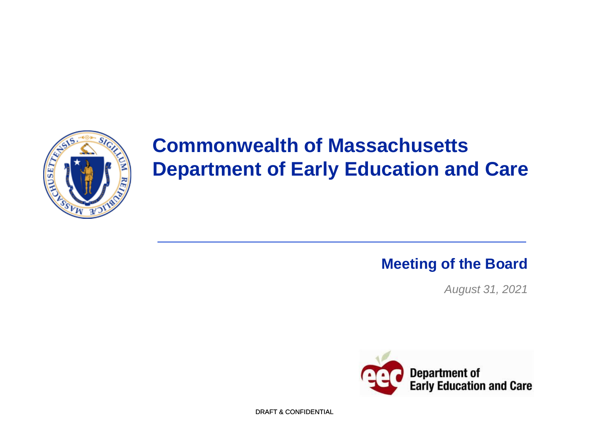

## **Commonwealth of Massachusetts Department of Early Education and Care**

## **Meeting of the Board**

*August 31, 2021*



DRAFT & CONFIDENTIAL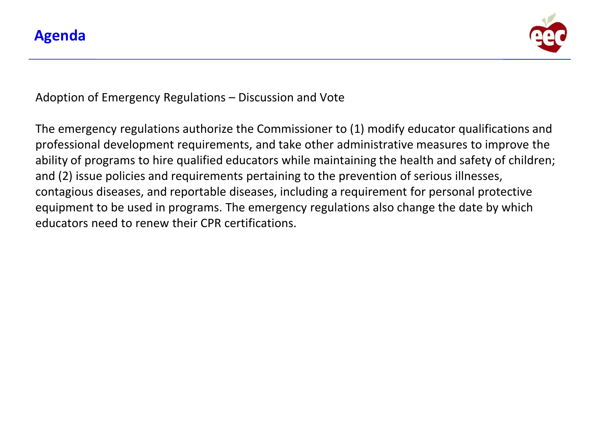

Adoption of Emergency Regulations – Discussion and Vote

The emergency regulations authorize the Commissioner to (1) modify educator qualifications and professional development requirements, and take other administrative measures to improve the ability of programs to hire qualified educators while maintaining the health and safety of children; and (2) issue policies and requirements pertaining to the prevention of serious illnesses, contagious diseases, and reportable diseases, including a requirement for personal protective equipment to be used in programs. The emergency regulations also change the date by which educators need to renew their CPR certifications.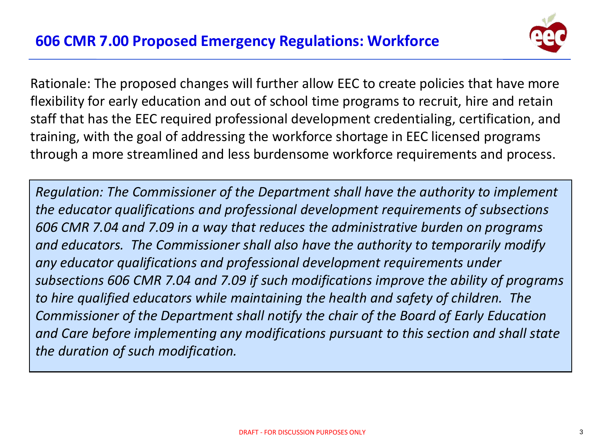

Rationale: The proposed changes will further allow EEC to create policies that have more flexibility for early education and out of school time programs to recruit, hire and retain staff that has the EEC required professional development credentialing, certification, and training, with the goal of addressing the workforce shortage in EEC licensed programs through a more streamlined and less burdensome workforce requirements and process.

*Regulation: The Commissioner of the Department shall have the authority to implement the educator qualifications and professional development requirements of subsections 606 CMR 7.04 and 7.09 in a way that reduces the administrative burden on programs and educators. The Commissioner shall also have the authority to temporarily modify any educator qualifications and professional development requirements under subsections 606 CMR 7.04 and 7.09 if such modifications improve the ability of programs to hire qualified educators while maintaining the health and safety of children. The Commissioner of the Department shall notify the chair of the Board of Early Education and Care before implementing any modifications pursuant to this section and shall state the duration of such modification.*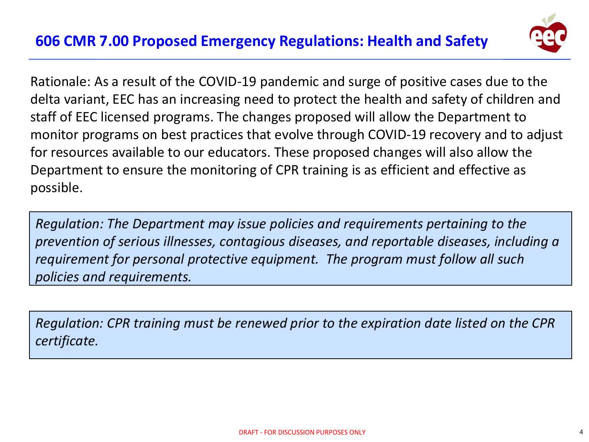

Rationale: As a result of the COVID-19 pandemic and surge of positive cases due to the delta variant, EEC has an increasing need to protect the health and safety of children and staff of EEC licensed programs. The changes proposed will allow the Department to monitor programs on best practices that evolve through COVID-19 recovery and to adjust for resources available to our educators. These proposed changes will also allow the Department to ensure the monitoring of CPR training is as efficient and effective as possible.

*Regulation: The Department may issue policies and requirements pertaining to the prevention of serious illnesses, contagious diseases, and reportable diseases, including a requirement for personal protective equipment. The program must follow all such policies and requirements.*

*Regulation: CPR training must be renewed prior to the expiration date listed on the CPR certificate.*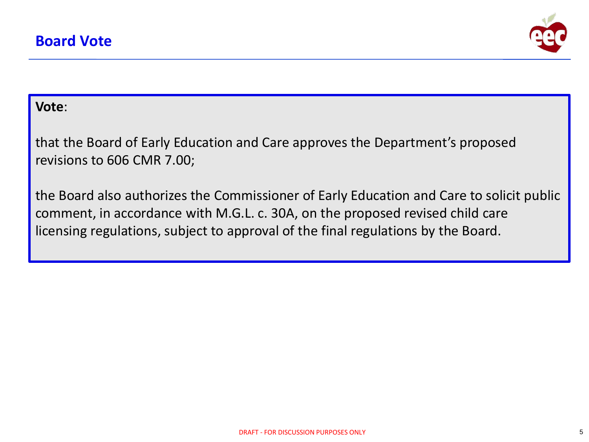

## **Vote**:

that the Board of Early Education and Care approves the Department's proposed revisions to 606 CMR 7.00;

the Board also authorizes the Commissioner of Early Education and Care to solicit public comment, in accordance with M.G.L. c. 30A, on the proposed revised child care licensing regulations, subject to approval of the final regulations by the Board.